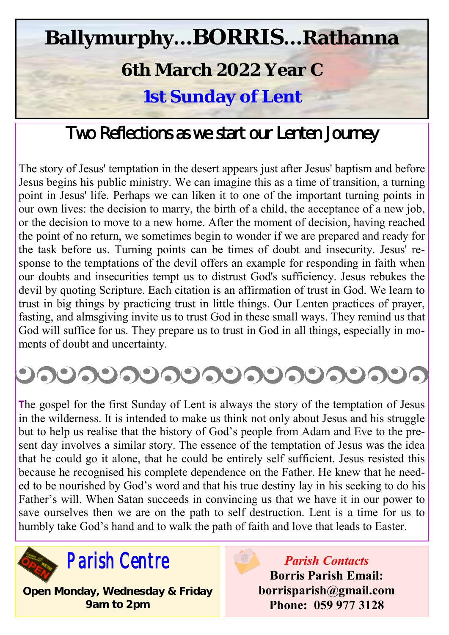## **Ballymurphy...BORRIS...Rathanna**

## **6th March 2022 Year C**

**1st Sunday of Lent**

## Two Reflections as we start our Lenten Journey

The story of Jesus' temptation in the desert appears just after Jesus' baptism and before Jesus begins his public ministry. We can imagine this as a time of transition, a turning point in Jesus' life. Perhaps we can liken it to one of the important turning points in our own lives: the decision to marry, the birth of a child, the acceptance of a new job, or the decision to move to a new home. After the moment of decision, having reached the point of no return, we sometimes begin to wonder if we are prepared and ready for the task before us. Turning points can be times of doubt and insecurity. Jesus' response to the temptations of the devil offers an example for responding in faith when our doubts and insecurities tempt us to distrust God's sufficiency. Jesus rebukes the devil by quoting Scripture. Each citation is an affirmation of trust in God. We learn to trust in big things by practicing trust in little things. Our Lenten practices of prayer, fasting, and almsgiving invite us to trust God in these small ways. They remind us that God will suffice for us. They prepare us to trust in God in all things, especially in moments of doubt and uncertainty.

# <u> ೨೧೮೧೮೧೮೧೮೧೮೧೮೧೮೧೮೧೮೧</u>

**T**he gospel for the first Sunday of Lent is always the story of the temptation of Jesus in the wilderness. It is intended to make us think not only about Jesus and his struggle but to help us realise that the history of God's people from Adam and Eve to the present day involves a similar story. The essence of the temptation of Jesus was the idea that he could go it alone, that he could be entirely self sufficient. Jesus resisted this because he recognised his complete dependence on the Father. He knew that he needed to be nourished by God's word and that his true destiny lay in his seeking to do his Father's will. When Satan succeeds in convincing us that we have it in our power to save ourselves then we are on the path to self destruction. Lent is a time for us to humbly take God's hand and to walk the path of faith and love that leads to Easter.



**Open Monday, Wednesday & Friday 9am to 2pm**

*Parish Contacts* **Borris Parish Email: borrisparish@gmail.com Phone: 059 977 3128**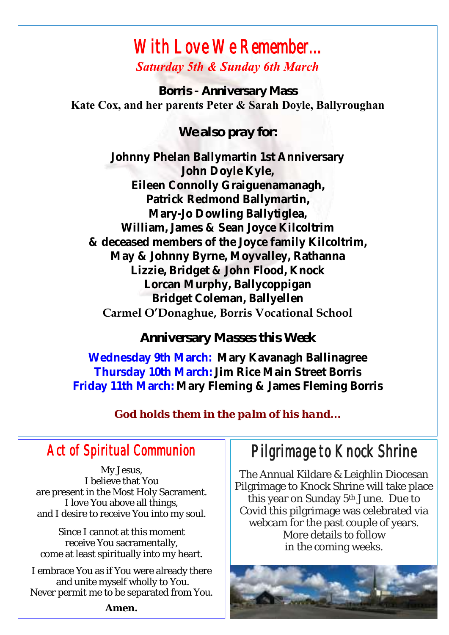### *With Love We Remember... Saturday 5th & Sunday 6th March*

*Borris - Anniversary Mass* **Kate Cox, and her parents Peter & Sarah Doyle, Ballyroughan**

*We also pray for:*

**Johnny Phelan Ballymartin 1st Anniversary John Doyle Kyle, Eileen Connolly Graiguenamanagh, Patrick Redmond Ballymartin, Mary-Jo Dowling Ballytiglea, William, James & Sean Joyce Kilcoltrim & deceased members of the Joyce family Kilcoltrim, May & Johnny Byrne, Moyvalley, Rathanna Lizzie, Bridget & John Flood, Knock Lorcan Murphy, Ballycoppigan Bridget Coleman, Ballyellen**

**Carmel O'Donaghue, Borris Vocational School**

*Anniversary Masses this Week*

**Wednesday 9th March: Mary Kavanagh Ballinagree Thursday 10th March: Jim Rice Main Street Borris Friday 11th March: Mary Fleming & James Fleming Borris**

*God holds them in the palm of his hand...*

### *Act of Spiritual Communion*

My Jesus, I believe that You are present in the Most Holy Sacrament. I love You above all things, and I desire to receive You into my soul.

Since I cannot at this moment receive You sacramentally, come at least spiritually into my heart.

I embrace You as if You were already there and unite myself wholly to You. Never permit me to be separated from You. *Pilgrimage to Knock Shrine* 

The Annual Kildare & Leighlin Diocesan Pilgrimage to Knock Shrine will take place this year on Sunday 5<sup>th</sup> June. Due to Covid this pilgrimage was celebrated via webcam for the past couple of years. More details to follow in the coming weeks.



**Amen.**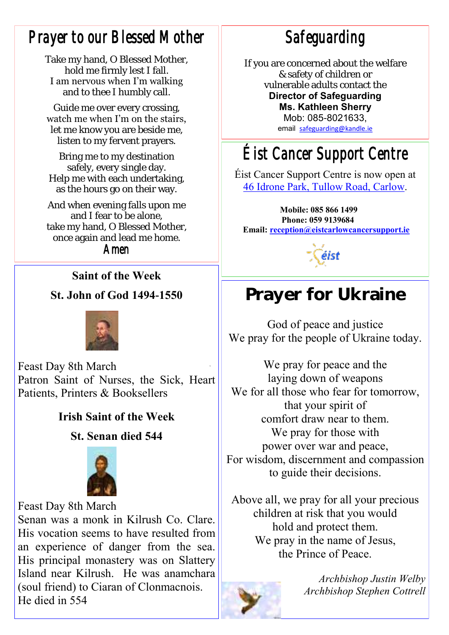## *Prayer to our Blessed Mother*

Take my hand, O Blessed Mother, hold me firmly lest I fall. I am nervous when I'm walking and to thee I humbly call.

Guide me over every crossing, watch me when I'm on the stairs, let me know you are beside me, listen to my fervent prayers.

Bring me to my destination safely, every single day. Help me with each undertaking, as the hours go on their way.

And when evening falls upon me and I fear to be alone, take my hand, O Blessed Mother, once again and lead me home.

*Amen*

#### **Saint of the Week**

#### **St. John of God 1494-1550**



Feast Day 8th March Patron Saint of Nurses, the Sick, Heart Patients, Printers & Booksellers

#### **Irish Saint of the Week**

#### **St. Senan died 544**



Feast Day 8th March Senan was a monk in Kilrush Co. Clare. His vocation seems to have resulted from an experience of danger from the sea. His principal monastery was on Slattery Island near Kilrush. He was anamchara (soul friend) to Ciaran of Clonmacnois. He died in 554

*Safeguarding* 

If you are concerned about the welfare & safety of children or vulnerable adults contact the **Director of Safeguarding** 

**Ms. Kathleen Sherry** 

Mob: 085-8021633, email [safeguarding@kandle.ie](mailto:safeguarding@kandle.ie)

## *Éist Cancer Support Centre*

Éist Cancer Support Centre is now open at [46 Idrone Park, Tullow Road, Carlow.](https://www.google.com/maps/search/46+Idrone+Park,+Tullow+Road,+Carlow?entry=gmail&source=g) 

**Mobile: 085 866 1499 Phone: 059 9139684 Email: [reception@eistcarlowcancersupport.ie](https://mail.google.com/mail/u/0/h/1qtoezsqni0f/?&cs=wh&v=b&to=reception@eistcarlowcancersupport.ie)**

éist

## Prayer for Ukraine

God of peace and justice We pray for the people of Ukraine today.

We pray for peace and the laying down of weapons We for all those who fear for tomorrow, that your spirit of comfort draw near to them. We pray for those with power over war and peace, For wisdom, discernment and compassion to guide their decisions.

Above all, we pray for all your precious children at risk that you would hold and protect them. We pray in the name of Jesus, the Prince of Peace.



*Archbishop Justin Welby Archbishop Stephen Cottrell*